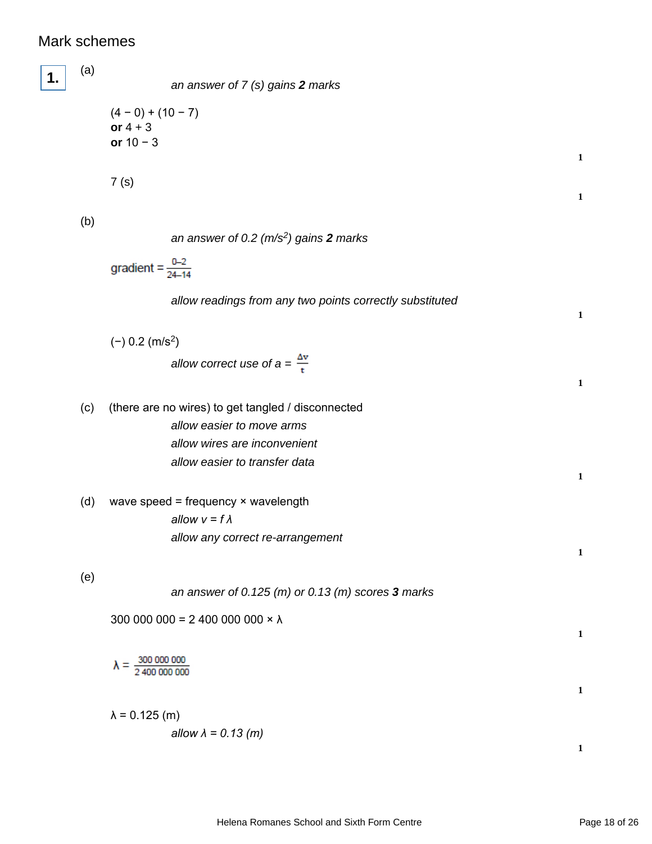## Mark schemes

| 1. | (a) | an answer of 7 (s) gains 2 marks                          |              |
|----|-----|-----------------------------------------------------------|--------------|
|    |     | $(4 - 0) + (10 - 7)$<br>or $4 + 3$<br>or $10 - 3$         |              |
|    |     | 7(s)                                                      | $\mathbf 1$  |
|    |     |                                                           | $\mathbf 1$  |
|    | (b) | an answer of 0.2 $(m/s^2)$ gains 2 marks                  |              |
|    |     | gradient = $\frac{0-2}{24-14}$                            |              |
|    |     | allow readings from any two points correctly substituted  | $\mathbf{1}$ |
|    |     | $(-)$ 0.2 (m/s <sup>2</sup> )                             |              |
|    |     | allow correct use of $a = \frac{\Delta v}{t}$             | $\mathbf 1$  |
|    | (c) | (there are no wires) to get tangled / disconnected        |              |
|    |     | allow easier to move arms<br>allow wires are inconvenient |              |
|    |     | allow easier to transfer data                             | $\mathbf 1$  |
|    | (d) | wave speed = frequency $\times$ wavelength                |              |
|    |     | allow $v = f \lambda$<br>allow any correct re-arrangement |              |
|    | (e) |                                                           | $\mathbf{1}$ |
|    |     | an answer of 0.125 (m) or 0.13 (m) scores $3$ marks       |              |
|    |     | 300 000 000 = 2 400 000 000 $\times \lambda$              | $\mathbf{1}$ |
|    |     | $\lambda = \frac{300\,000\,000}{2\,400\,000\,000}$        |              |
|    |     |                                                           | $\mathbf{1}$ |
|    |     | $\lambda$ = 0.125 (m)<br>allow $\lambda$ = 0.13 (m)       |              |
|    |     |                                                           | $\mathbf 1$  |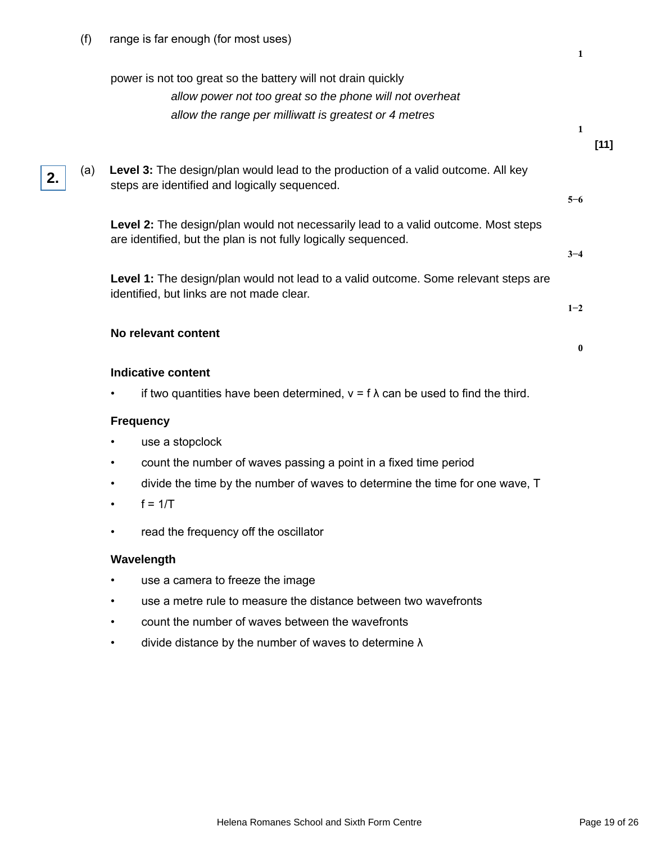|    |     | power is not too great so the battery will not drain quickly<br>allow power not too great so the phone will not overheat                             |          |        |
|----|-----|------------------------------------------------------------------------------------------------------------------------------------------------------|----------|--------|
|    |     | allow the range per milliwatt is greatest or 4 metres                                                                                                | 1        | $[11]$ |
| 2. | (a) | Level 3: The design/plan would lead to the production of a valid outcome. All key<br>steps are identified and logically sequenced.                   | $5 - 6$  |        |
|    |     | Level 2: The design/plan would not necessarily lead to a valid outcome. Most steps<br>are identified, but the plan is not fully logically sequenced. |          |        |
|    |     | Level 1: The design/plan would not lead to a valid outcome. Some relevant steps are                                                                  | $3 - 4$  |        |
|    |     | identified, but links are not made clear.                                                                                                            | $1 - 2$  |        |
|    |     | No relevant content                                                                                                                                  | $\bf{0}$ |        |
|    |     | <b>Indicative content</b>                                                                                                                            |          |        |
|    |     | if two quantities have been determined, $v = f \lambda$ can be used to find the third.                                                               |          |        |
|    |     | <b>Frequency</b>                                                                                                                                     |          |        |
|    |     | use a stopclock                                                                                                                                      |          |        |
|    |     | count the number of waves passing a point in a fixed time period                                                                                     |          |        |
|    |     | divide the time by the number of waves to determine the time for one wave, T                                                                         |          |        |
|    |     | $f = 1/T$                                                                                                                                            |          |        |
|    |     | read the frequency off the oscillator                                                                                                                |          |        |
|    |     | Wavelength                                                                                                                                           |          |        |
|    |     | use a camera to freeze the image                                                                                                                     |          |        |
|    |     | use a metre rule to measure the distance between two wavefronts                                                                                      |          |        |

- count the number of waves between the wavefronts
- divide distance by the number of waves to determine  $\lambda$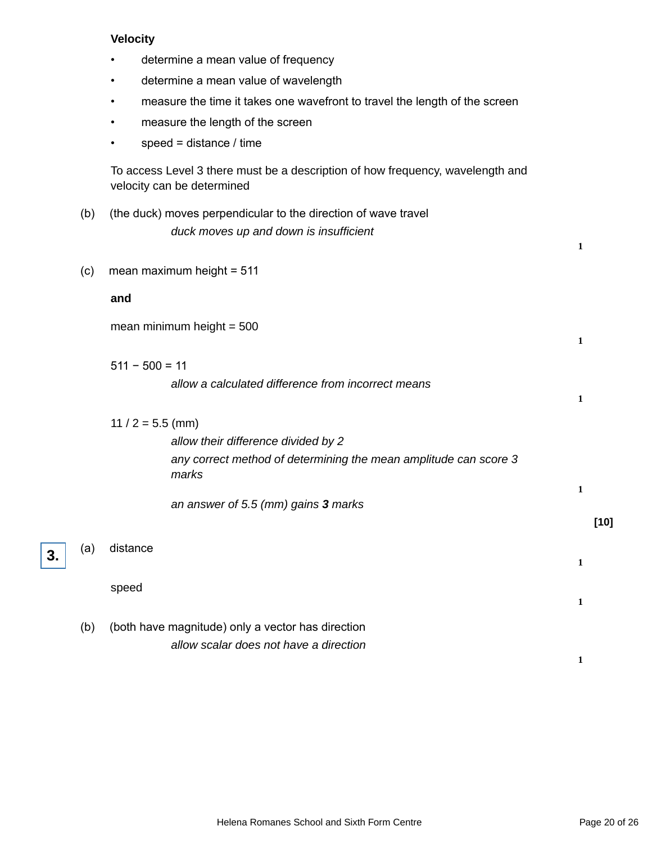## **Velocity**

- determine a mean value of frequency
- determine a mean value of wavelength
- measure the time it takes one wavefront to travel the length of the screen
- measure the length of the screen
- $\cdot$  speed = distance / time

To access Level 3 there must be a description of how frequency, wavelength and velocity can be determined

- (b) (the duck) moves perpendicular to the direction of wave travel duck moves up and down is insufficient
- (c) mean maximum height = 511

## **and**

**3.**

| mean minimum height = 500 |  |  |
|---------------------------|--|--|
|---------------------------|--|--|

- 511 − 500 = 11 allow a calculated difference from incorrect means **1** 11 /  $2 = 5.5$  (mm) allow their difference divided by 2 any correct method of determining the mean amplitude can score 3 marks **1** an answer of 5.5 (mm) gains **3** marks **[10]** (a) distance **1** speed **1**
- (b) (both have magnitude) only a vector has direction allow scalar does not have a direction

**1**

**1**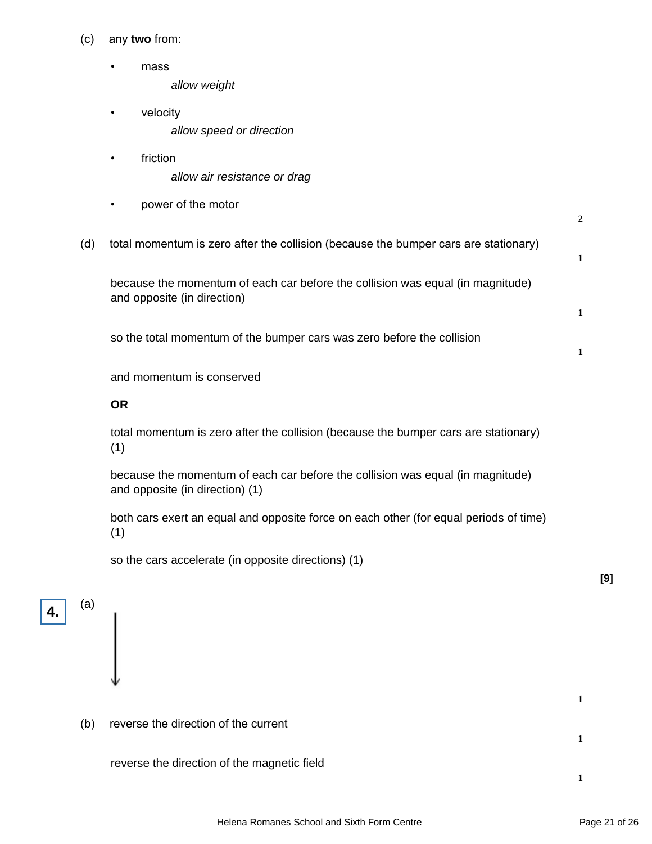- (c) any **two** from:
	- mass allow weight
	- velocity allow speed or direction
	- friction allow air resistance or drag
	- power of the motor
- (d) total momentum is zero after the collision (because the bumper cars are stationary)

because the momentum of each car before the collision was equal (in magnitude) and opposite (in direction)

so the total momentum of the bumper cars was zero before the collision

and momentum is conserved

## **OR**

total momentum is zero after the collision (because the bumper cars are stationary) (1)

because the momentum of each car before the collision was equal (in magnitude) and opposite (in direction) (1)

both cars exert an equal and opposite force on each other (for equal periods of time) (1)

so the cars accelerate (in opposite directions) (1)

**4.**

(a)

(b) reverse the direction of the current

reverse the direction of the magnetic field

**[9]**

**1**

**1**

**1**

**2**

**1**

**1**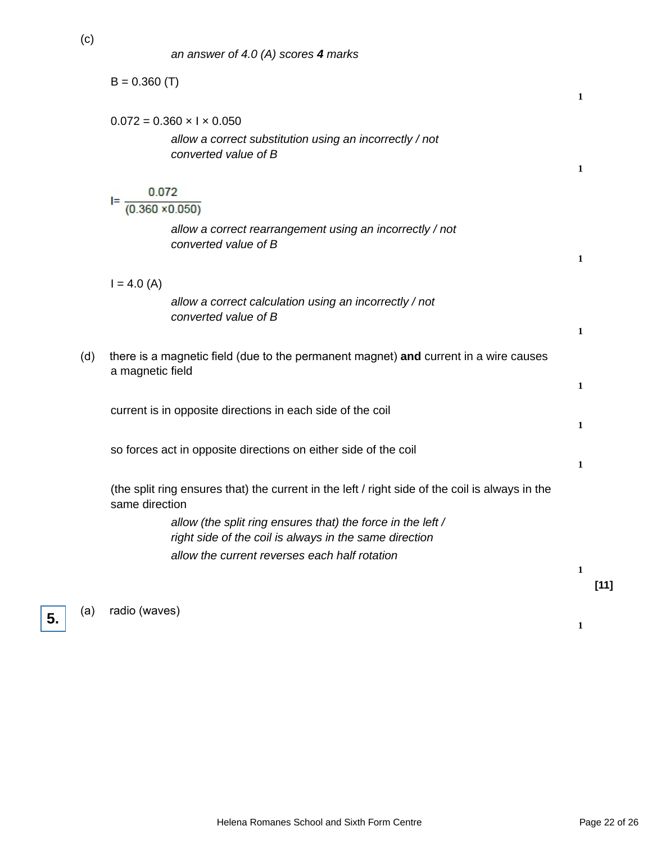|     | $B = 0.360$ (T)                                                                                                       | 1            |
|-----|-----------------------------------------------------------------------------------------------------------------------|--------------|
|     | $0.072 = 0.360 \times 1 \times 0.050$                                                                                 |              |
|     | allow a correct substitution using an incorrectly / not<br>converted value of B                                       | 1            |
|     | 0.072                                                                                                                 |              |
|     | I= -<br>$(0.360 \times 0.050)$                                                                                        |              |
|     | allow a correct rearrangement using an incorrectly / not<br>converted value of B                                      |              |
|     |                                                                                                                       | $\mathbf{1}$ |
|     | $I = 4.0 (A)$                                                                                                         |              |
|     | allow a correct calculation using an incorrectly / not<br>converted value of B                                        |              |
|     |                                                                                                                       | 1            |
| (d) | there is a magnetic field (due to the permanent magnet) and current in a wire causes<br>a magnetic field              |              |
|     |                                                                                                                       | 1            |
|     | current is in opposite directions in each side of the coil                                                            |              |
|     |                                                                                                                       | 1            |
|     | so forces act in opposite directions on either side of the coil                                                       |              |
|     |                                                                                                                       | 1            |
|     | (the split ring ensures that) the current in the left / right side of the coil is always in the<br>same direction     |              |
|     | allow (the split ring ensures that) the force in the left /<br>right side of the coil is always in the same direction |              |
|     | allow the current reverses each half rotation                                                                         |              |
|     |                                                                                                                       | 1            |
|     |                                                                                                                       | $[11]$       |
| (a) | radio (waves)                                                                                                         |              |

**5.**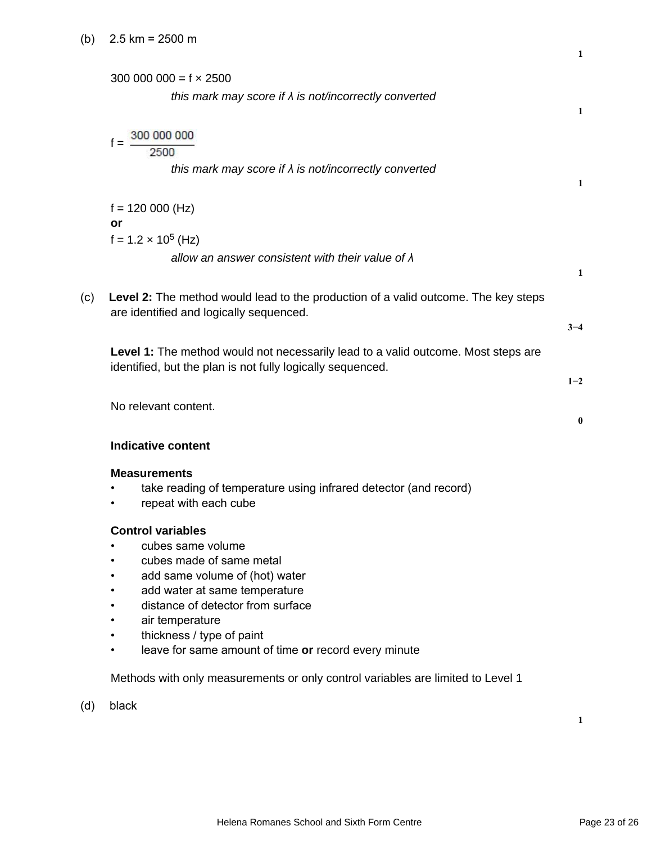|     | 300 000 000 = $f \times 2500$<br>this mark may score if $\lambda$ is not/incorrectly converted                                                                                                                                                                                                 | 1        |
|-----|------------------------------------------------------------------------------------------------------------------------------------------------------------------------------------------------------------------------------------------------------------------------------------------------|----------|
|     | 2500<br>this mark may score if $\lambda$ is not/incorrectly converted                                                                                                                                                                                                                          | 1        |
|     | $f = 120000$ (Hz)<br>or                                                                                                                                                                                                                                                                        |          |
|     | $f = 1.2 \times 10^5$ (Hz)<br>allow an answer consistent with their value of $\lambda$                                                                                                                                                                                                         | 1        |
| (c) | Level 2: The method would lead to the production of a valid outcome. The key steps<br>are identified and logically sequenced.                                                                                                                                                                  | $3 - 4$  |
|     | Level 1: The method would not necessarily lead to a valid outcome. Most steps are<br>identified, but the plan is not fully logically sequenced.                                                                                                                                                | $1 - 2$  |
|     | No relevant content.                                                                                                                                                                                                                                                                           | $\bf{0}$ |
|     | <b>Indicative content</b>                                                                                                                                                                                                                                                                      |          |
|     | <b>Measurements</b><br>take reading of temperature using infrared detector (and record)<br>repeat with each cube                                                                                                                                                                               |          |
|     | <b>Control variables</b><br>cubes same volume<br>٠<br>cubes made of same metal<br>add same volume of (hot) water<br>add water at same temperature<br>distance of detector from surface<br>air temperature<br>thickness / type of paint<br>leave for same amount of time or record every minute |          |
|     | Methods with only measurements or only control variables are limited to Level 1                                                                                                                                                                                                                |          |
| (d) | black                                                                                                                                                                                                                                                                                          | 1        |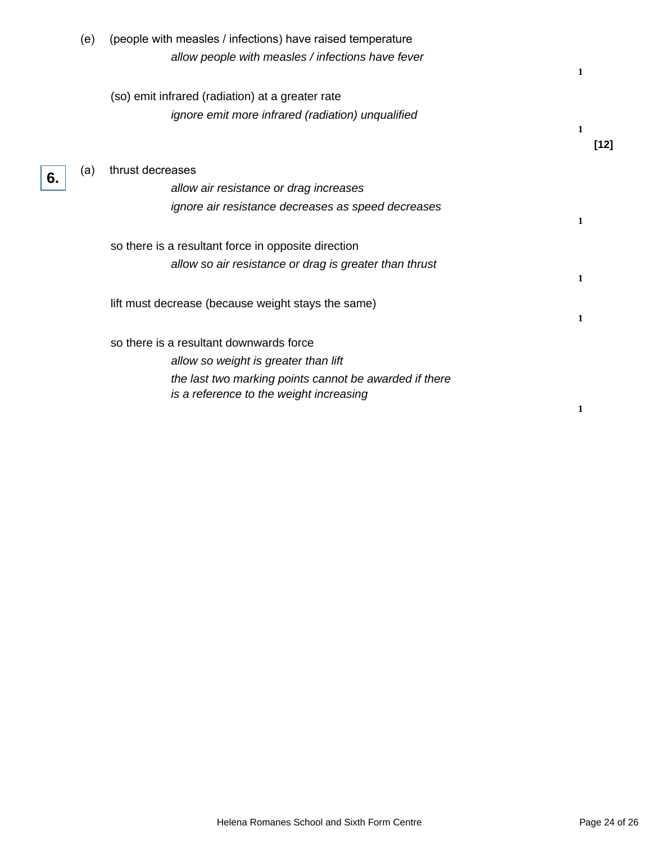|    | (e) | (people with measles / infections) have raised temperature |   |        |
|----|-----|------------------------------------------------------------|---|--------|
|    |     | allow people with measles / infections have fever          | 1 |        |
|    |     | (so) emit infrared (radiation) at a greater rate           |   |        |
|    |     | ignore emit more infrared (radiation) unqualified          | 1 |        |
|    |     |                                                            |   | $[12]$ |
| 6. | (a) | thrust decreases                                           |   |        |
|    |     | allow air resistance or drag increases                     |   |        |
|    |     | ignore air resistance decreases as speed decreases         |   |        |
|    |     |                                                            | 1 |        |
|    |     | so there is a resultant force in opposite direction        |   |        |
|    |     | allow so air resistance or drag is greater than thrust     |   |        |
|    |     |                                                            | 1 |        |
|    |     | lift must decrease (because weight stays the same)         |   |        |
|    |     |                                                            | 1 |        |
|    |     | so there is a resultant downwards force                    |   |        |
|    |     | allow so weight is greater than lift                       |   |        |
|    |     | the last two marking points cannot be awarded if there     |   |        |
|    |     | is a reference to the weight increasing                    |   |        |
|    |     |                                                            | 1 |        |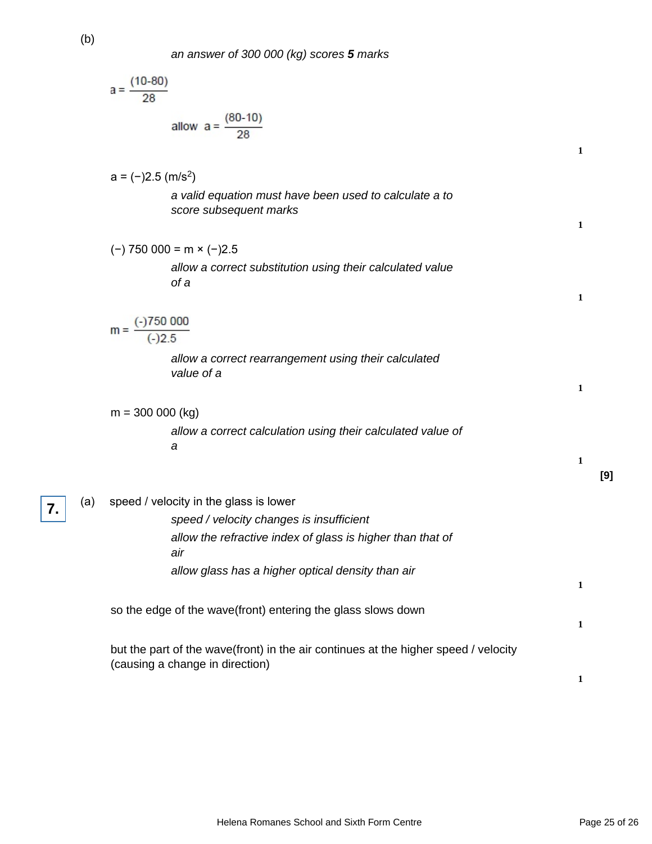an answer of 300 000 (kg) scores **5** marks

|     | $a = \frac{(10-80)}{28}$                                                                                               |   |     |
|-----|------------------------------------------------------------------------------------------------------------------------|---|-----|
|     | allow $a = \frac{(80-10)}{28}$                                                                                         | 1 |     |
|     | $a = (-)2.5$ (m/s <sup>2</sup> )                                                                                       |   |     |
|     | a valid equation must have been used to calculate a to<br>score subsequent marks                                       | 1 |     |
|     | $(-)$ 750 000 = m $\times$ $(-)2.5$                                                                                    |   |     |
|     | allow a correct substitution using their calculated value<br>of a                                                      |   |     |
|     |                                                                                                                        | 1 |     |
|     | $m = \frac{(-)750000}{(-)2.5}$                                                                                         |   |     |
|     | allow a correct rearrangement using their calculated<br>value of a                                                     | 1 |     |
|     | $m = 300 000 (kg)$                                                                                                     |   |     |
|     | allow a correct calculation using their calculated value of<br>a                                                       |   |     |
|     |                                                                                                                        | 1 | [9] |
| (a) | speed / velocity in the glass is lower                                                                                 |   |     |
|     | speed / velocity changes is insufficient                                                                               |   |     |
|     | allow the refractive index of glass is higher than that of<br>air                                                      |   |     |
|     | allow glass has a higher optical density than air                                                                      | 1 |     |
|     | so the edge of the wave(front) entering the glass slows down                                                           |   |     |
|     |                                                                                                                        | 1 |     |
|     | but the part of the wave(front) in the air continues at the higher speed / velocity<br>(causing a change in direction) |   |     |
|     |                                                                                                                        | 1 |     |

(b)

 $\overline{7}$ .